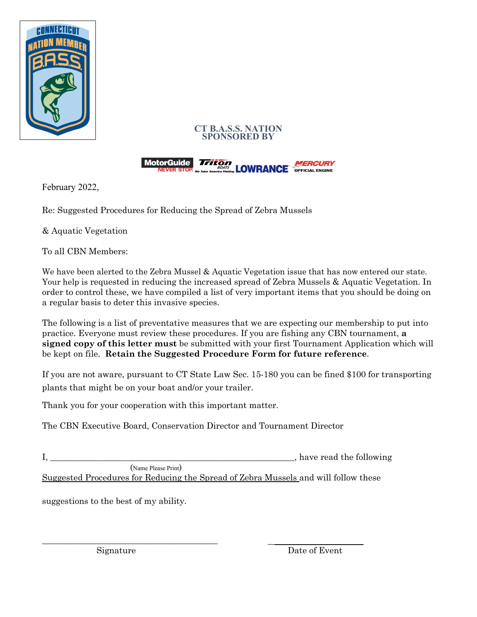





February 2022,

Re: Suggested Procedures for Reducing the Spread of Zebra Mussels

& Aquatic Vegetation

To all CBN Members:

We have been alerted to the Zebra Mussel & Aquatic Vegetation issue that has now entered our state. Your help is requested in reducing the increased spread of Zebra Mussels & Aquatic Vegetation. In order to control these, we have compiled a list of very important items that you should be doing on a regular basis to deter this invasive species.

The following is a list of preventative measures that we are expecting our membership to put into practice. Everyone must review these procedures. If you are fishing any CBN tournament, **a signed copy of this letter must** be submitted with your first Tournament Application which will be kept on file. **Retain the Suggested Procedure Form for future reference**.

If you are not aware, pursuant to CT State Law Sec. 15-180 you can be fined \$100 for transporting plants that might be on your boat and/or your trailer.

Thank you for your cooperation with this important matter.

The CBN Executive Board, Conservation Director and Tournament Director

I, \_\_\_\_\_\_\_\_\_\_\_\_\_\_\_\_\_\_\_\_\_\_\_\_\_\_\_\_\_\_\_\_\_\_\_\_\_\_\_\_\_\_\_\_\_\_\_\_\_\_\_\_\_\_\_\_\_, have read the following (Name Please Print) Suggested Procedures for Reducing the Spread of Zebra Mussels and will follow these

suggestions to the best of my ability.

\_\_\_\_\_\_\_\_\_\_\_\_\_\_\_\_\_\_\_\_\_\_\_\_\_\_\_\_\_\_\_\_\_\_\_\_\_\_\_\_\_ \_\_\_\_\_\_\_\_\_\_\_\_\_\_\_\_\_\_\_

Signature Date of Event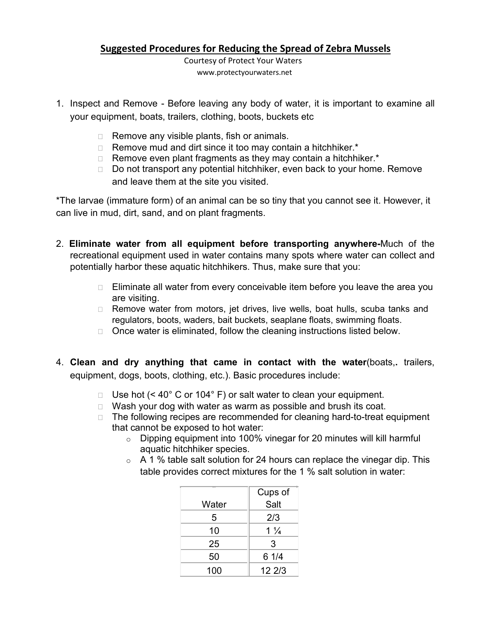## **Suggested Procedures for Reducing the Spread of Zebra Mussels**

Courtesy of Protect Your Waters www.protectyourwaters.net

- 1. Inspect and Remove Before leaving any body of water, it is important to examine all your equipment, boats, trailers, clothing, boots, buckets etc
	- $\Box$  Remove any visible plants, fish or animals.
	- $\Box$  Remove mud and dirt since it too may contain a hitchhiker.<sup>\*</sup>
	- $\Box$  Remove even plant fragments as they may contain a hitchhiker.<sup>\*</sup>
	- □ Do not transport any potential hitchhiker, even back to your home. Remove and leave them at the site you visited.

\*The larvae (immature form) of an animal can be so tiny that you cannot see it. However, it can live in mud, dirt, sand, and on plant fragments.

- 2. **Eliminate water from all equipment before transporting anywhere-**Much of the recreational equipment used in water contains many spots where water can collect and potentially harbor these aquatic hitchhikers. Thus, make sure that you:
	- $\Box$  Eliminate all water from every conceivable item before you leave the area you are visiting.
	- □ Remove water from motors, jet drives, live wells, boat hulls, scuba tanks and regulators, boots, waders, bait buckets, seaplane floats, swimming floats.
	- $\Box$  Once water is eliminated, follow the cleaning instructions listed below.
- 4. **Clean and dry anything that came in contact with the water**(boats,**.** trailers, equipment, dogs, boots, clothing, etc.). Basic procedures include:
	- $\Box$  Use hot (< 40° C or 104° F) or salt water to clean your equipment.
	- $\Box$  Wash your dog with water as warm as possible and brush its coat.
	- $\Box$  The following recipes are recommended for cleaning hard-to-treat equipment that cannot be exposed to hot water:
		- o Dipping equipment into 100% vinegar for 20 minutes will kill harmful aquatic hitchhiker species.
		- $\circ$  A 1 % table salt solution for 24 hours can replace the vinegar dip. This table provides correct mixtures for the 1 % salt solution in water:

| $-\$  | Cups of        |
|-------|----------------|
| Water | Salt           |
| 5     | 2/3            |
| 10    | $1\frac{1}{4}$ |
| 25    | 3              |
| 50    | 61/4           |
| 100   | 12 2/3         |